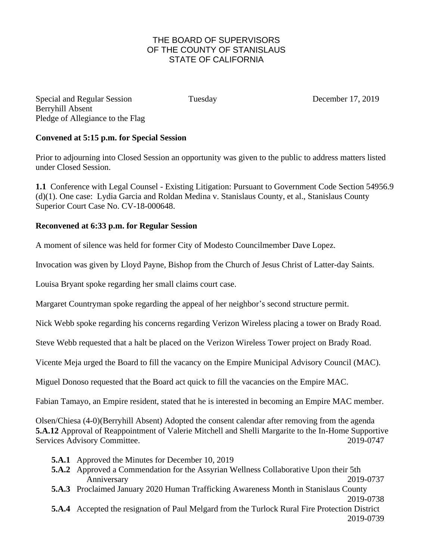## THE BOARD OF SUPERVISORS OF THE COUNTY OF STANISLAUS STATE OF CALIFORNIA

Special and Regular Session Tuesday December 17, 2019 Berryhill Absent Pledge of Allegiance to the Flag

## **Convened at 5:15 p.m. for Special Session**

Prior to adjourning into Closed Session an opportunity was given to the public to address matters listed under Closed Session.

**1.1** Conference with Legal Counsel - Existing Litigation: Pursuant to Government Code Section 54956.9 (d)(1). One case: Lydia Garcia and Roldan Medina v. Stanislaus County, et al., Stanislaus County Superior Court Case No. CV-18-000648.

## **Reconvened at 6:33 p.m. for Regular Session**

A moment of silence was held for former City of Modesto Councilmember Dave Lopez.

Invocation was given by Lloyd Payne, Bishop from the Church of Jesus Christ of Latter-day Saints.

Louisa Bryant spoke regarding her small claims court case.

Margaret Countryman spoke regarding the appeal of her neighbor's second structure permit.

Nick Webb spoke regarding his concerns regarding Verizon Wireless placing a tower on Brady Road.

Steve Webb requested that a halt be placed on the Verizon Wireless Tower project on Brady Road.

Vicente Meja urged the Board to fill the vacancy on the Empire Municipal Advisory Council (MAC).

Miguel Donoso requested that the Board act quick to fill the vacancies on the Empire MAC.

Fabian Tamayo, an Empire resident, stated that he is interested in becoming an Empire MAC member.

Olsen/Chiesa (4-0)(Berryhill Absent) Adopted the consent calendar after removing from the agenda **5.A.12** Approval of Reappointment of Valerie Mitchell and Shelli Margarite to the In-Home Supportive Services Advisory Committee. 2019-0747

- **5.A.1** Approved the Minutes for December 10, 2019
- **5.A.2** Approved a Commendation for the Assyrian Wellness Collaborative Upon their 5th Anniversary 2019-0737
- **5.A.3** Proclaimed January 2020 Human Trafficking Awareness Month in Stanislaus County

```
2019-0738
```
**5.A.4** Accepted the resignation of Paul Melgard from the Turlock Rural Fire Protection District 2019-0739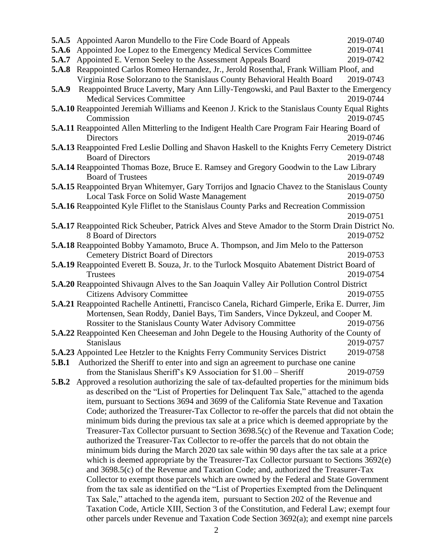|       | <b>5.A.5</b> Appointed Aaron Mundello to the Fire Code Board of Appeals                              | 2019-0740 |
|-------|------------------------------------------------------------------------------------------------------|-----------|
| 5.A.6 | Appointed Joe Lopez to the Emergency Medical Services Committee                                      | 2019-0741 |
| 5.A.7 | Appointed E. Vernon Seeley to the Assessment Appeals Board                                           | 2019-0742 |
| 5.A.8 | Reappointed Carlos Romeo Hernandez, Jr., Jerold Rosenthal, Frank William Ploof, and                  |           |
|       | Virginia Rose Solorzano to the Stanislaus County Behavioral Health Board                             | 2019-0743 |
| 5.A.9 | Reappointed Bruce Laverty, Mary Ann Lilly-Tengowski, and Paul Baxter to the Emergency                |           |
|       | <b>Medical Services Committee</b>                                                                    | 2019-0744 |
|       | 5.A.10 Reappointed Jeremiah Williams and Keenon J. Krick to the Stanislaus County Equal Rights       |           |
|       | Commission                                                                                           | 2019-0745 |
|       | 5.A.11 Reappointed Allen Mitterling to the Indigent Health Care Program Fair Hearing Board of        |           |
|       | Directors                                                                                            | 2019-0746 |
|       | 5.A.13 Reappointed Fred Leslie Dolling and Shavon Haskell to the Knights Ferry Cemetery District     |           |
|       | <b>Board of Directors</b>                                                                            | 2019-0748 |
|       | <b>5.A.14</b> Reappointed Thomas Boze, Bruce E. Ramsey and Gregory Goodwin to the Law Library        |           |
|       | <b>Board of Trustees</b>                                                                             | 2019-0749 |
|       | <b>5.A.15</b> Reappointed Bryan Whitemyer, Gary Torrijos and Ignacio Chavez to the Stanislaus County |           |
|       | Local Task Force on Solid Waste Management                                                           | 2019-0750 |
|       | <b>5.A.16</b> Reappointed Kyle Fliflet to the Stanislaus County Parks and Recreation Commission      |           |
|       |                                                                                                      | 2019-0751 |
|       | 5.A.17 Reappointed Rick Scheuber, Patrick Alves and Steve Amador to the Storm Drain District No.     |           |
|       | 8 Board of Directors                                                                                 | 2019-0752 |
|       | <b>5.A.18</b> Reappointed Bobby Yamamoto, Bruce A. Thompson, and Jim Melo to the Patterson           |           |
|       | <b>Cemetery District Board of Directors</b>                                                          | 2019-0753 |
|       | <b>5.A.19</b> Reappointed Everett B. Souza, Jr. to the Turlock Mosquito Abatement District Board of  |           |
|       | <b>Trustees</b>                                                                                      | 2019-0754 |
|       | 5.A.20 Reappointed Shivaugn Alves to the San Joaquin Valley Air Pollution Control District           |           |
|       | <b>Citizens Advisory Committee</b>                                                                   | 2019-0755 |
|       | 5.A.21 Reappointed Rachelle Antinetti, Francisco Canela, Richard Gimperle, Erika E. Durrer, Jim      |           |
|       | Mortensen, Sean Roddy, Daniel Bays, Tim Sanders, Vince Dykzeul, and Cooper M.                        |           |
|       | Rossiter to the Stanislaus County Water Advisory Committee                                           | 2019-0756 |
|       | <b>5.A.22</b> Reappointed Ken Cheeseman and John Degele to the Housing Authority of the County of    |           |
|       | <b>Stanislaus</b>                                                                                    | 2019-0757 |
|       | 5.A.23 Appointed Lee Hetzler to the Knights Ferry Community Services District                        | 2019-0758 |
| 5.B.1 | Authorized the Sheriff to enter into and sign an agreement to purchase one canine                    |           |
|       | from the Stanislaus Sheriff's $K9$ Association for $$1.00 -$ Sheriff                                 | 2019-0759 |
| 5.B.2 | Approved a resolution authorizing the sale of tax-defaulted properties for the minimum bids          |           |
|       | as described on the "List of Properties for Delinquent Tax Sale," attached to the agenda             |           |
|       | item, pursuant to Sections 3694 and 3699 of the California State Revenue and Taxation                |           |
|       | Code; authorized the Treasurer-Tax Collector to re-offer the parcels that did not obtain the         |           |
|       | minimum bids during the previous tax sale at a price which is deemed appropriate by the              |           |
|       | Treasurer-Tax Collector pursuant to Section 3698.5(c) of the Revenue and Taxation Code;              |           |
|       | authorized the Treasurer-Tax Collector to re-offer the parcels that do not obtain the                |           |
|       | minimum bids during the March 2020 tax sale within 90 days after the tax sale at a price             |           |
|       | which is deemed appropriate by the Treasurer-Tax Collector pursuant to Sections 3692(e)              |           |
|       | and 3698.5(c) of the Revenue and Taxation Code; and, authorized the Treasurer-Tax                    |           |
|       | Collector to exempt those parcels which are owned by the Federal and State Government                |           |
|       | from the tax sale as identified on the "List of Properties Exempted from the Delinquent              |           |
|       | Tax Sale," attached to the agenda item, pursuant to Section 202 of the Revenue and                   |           |
|       | Taxation Code, Article XIII, Section 3 of the Constitution, and Federal Law; exempt four             |           |
|       | other parcels under Revenue and Taxation Code Section 3692(a); and exempt nine parcels               |           |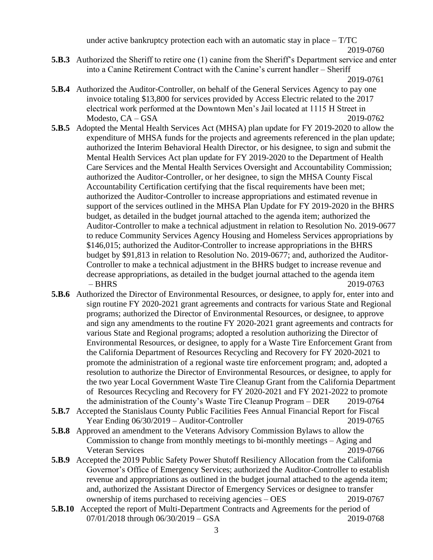under active bankruptcy protection each with an automatic stay in place  $- T/TC$ 

```
2019-0760
```
**5.B.3** Authorized the Sheriff to retire one (1) canine from the Sheriff's Department service and enter into a Canine Retirement Contract with the Canine's current handler – Sheriff

- **5.B.4** Authorized the Auditor-Controller, on behalf of the General Services Agency to pay one invoice totaling \$13,800 for services provided by Access Electric related to the 2017 electrical work performed at the Downtown Men's Jail located at 1115 H Street in Modesto, CA – GSA 2019-0762
- **5.B.5** Adopted the Mental Health Services Act (MHSA) plan update for FY 2019-2020 to allow the expenditure of MHSA funds for the projects and agreements referenced in the plan update; authorized the Interim Behavioral Health Director, or his designee, to sign and submit the Mental Health Services Act plan update for FY 2019-2020 to the Department of Health Care Services and the Mental Health Services Oversight and Accountability Commission; authorized the Auditor-Controller, or her designee, to sign the MHSA County Fiscal Accountability Certification certifying that the fiscal requirements have been met; authorized the Auditor-Controller to increase appropriations and estimated revenue in support of the services outlined in the MHSA Plan Update for FY 2019-2020 in the BHRS budget, as detailed in the budget journal attached to the agenda item; authorized the Auditor-Controller to make a technical adjustment in relation to Resolution No. 2019-0677 to reduce Community Services Agency Housing and Homeless Services appropriations by \$146,015; authorized the Auditor-Controller to increase appropriations in the BHRS budget by \$91,813 in relation to Resolution No. 2019-0677; and, authorized the Auditor-Controller to make a technical adjustment in the BHRS budget to increase revenue and decrease appropriations, as detailed in the budget journal attached to the agenda item – BHRS 2019-0763
- **5.B.6** Authorized the Director of Environmental Resources, or designee, to apply for, enter into and sign routine FY 2020-2021 grant agreements and contracts for various State and Regional programs; authorized the Director of Environmental Resources, or designee, to approve and sign any amendments to the routine FY 2020-2021 grant agreements and contracts for various State and Regional programs; adopted a resolution authorizing the Director of Environmental Resources, or designee, to apply for a Waste Tire Enforcement Grant from the California Department of Resources Recycling and Recovery for FY 2020-2021 to promote the administration of a regional waste tire enforcement program; and, adopted a resolution to authorize the Director of Environmental Resources, or designee, to apply for the two year Local Government Waste Tire Cleanup Grant from the California Department of Resources Recycling and Recovery for FY 2020-2021 and FY 2021-2022 to promote the administration of the County's Waste Tire Cleanup Program – DER 2019-0764
- **5.B.7** Accepted the Stanislaus County Public Facilities Fees Annual Financial Report for Fiscal Year Ending 06/30/2019 – Auditor-Controller 2019-0765
- **5.B.8** Approved an amendment to the Veterans Advisory Commission Bylaws to allow the Commission to change from monthly meetings to bi-monthly meetings – Aging and Veteran Services 2019-0766
- **5.B.9** Accepted the 2019 Public Safety Power Shutoff Resiliency Allocation from the California Governor's Office of Emergency Services; authorized the Auditor-Controller to establish revenue and appropriations as outlined in the budget journal attached to the agenda item; and, authorized the Assistant Director of Emergency Services or designee to transfer ownership of items purchased to receiving agencies – OES 2019-0767
- **5.B.10** Accepted the report of Multi-Department Contracts and Agreements for the period of 07/01/2018 through 06/30/2019 – GSA 2019-0768

<sup>2019-0761</sup>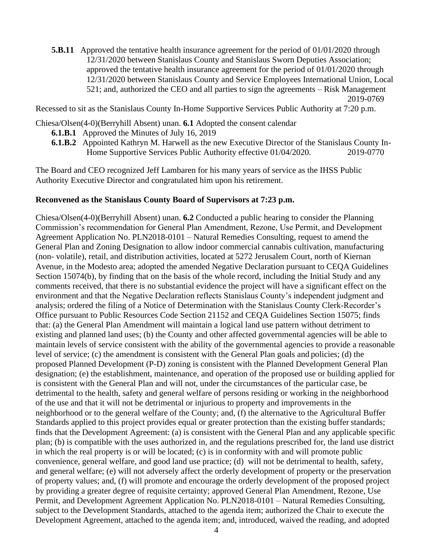**5.B.11** Approved the tentative health insurance agreement for the period of 01/01/2020 through 12/31/2020 between Stanislaus County and Stanislaus Sworn Deputies Association; approved the tentative health insurance agreement for the period of 01/01/2020 through 12/31/2020 between Stanislaus County and Service Employees International Union, Local 521; and, authorized the CEO and all parties to sign the agreements – Risk Management 2019-0769

Recessed to sit as the Stanislaus County In-Home Supportive Services Public Authority at 7:20 p.m.

Chiesa/Olsen(4-0)(Berryhill Absent) unan. **6.1** Adopted the consent calendar

- **6.1.B.1** Approved the Minutes of July 16, 2019
- **6.1.B.2** Appointed Kathryn M. Harwell as the new Executive Director of the Stanislaus County In-Home Supportive Services Public Authority effective 01/04/2020. 2019-0770

The Board and CEO recognized Jeff Lambaren for his many years of service as the IHSS Public Authority Executive Director and congratulated him upon his retirement.

## **Reconvened as the Stanislaus County Board of Supervisors at 7:23 p.m.**

Chiesa/Olsen(4-0)(Berryhill Absent) unan. **6.2** Conducted a public hearing to consider the Planning Commission's recommendation for General Plan Amendment, Rezone, Use Permit, and Development Agreement Application No. PLN2018-0101 – Natural Remedies Consulting, request to amend the General Plan and Zoning Designation to allow indoor commercial cannabis cultivation, manufacturing (non- volatile), retail, and distribution activities, located at 5272 Jerusalem Court, north of Kiernan Avenue, in the Modesto area; adopted the amended Negative Declaration pursuant to CEQA Guidelines Section 15074(b), by finding that on the basis of the whole record, including the Initial Study and any comments received, that there is no substantial evidence the project will have a significant effect on the environment and that the Negative Declaration reflects Stanislaus County's independent judgment and analysis; ordered the filing of a Notice of Determination with the Stanislaus County Clerk-Recorder's Office pursuant to Public Resources Code Section 21152 and CEQA Guidelines Section 15075; finds that: (a) the General Plan Amendment will maintain a logical land use pattern without detriment to existing and planned land uses; (b) the County and other affected governmental agencies will be able to maintain levels of service consistent with the ability of the governmental agencies to provide a reasonable level of service; (c) the amendment is consistent with the General Plan goals and policies; (d) the proposed Planned Development (P-D) zoning is consistent with the Planned Development General Plan designation; (e) the establishment, maintenance, and operation of the proposed use or building applied for is consistent with the General Plan and will not, under the circumstances of the particular case, be detrimental to the health, safety and general welfare of persons residing or working in the neighborhood of the use and that it will not be detrimental or injurious to property and improvements in the neighborhood or to the general welfare of the County; and, (f) the alternative to the Agricultural Buffer Standards applied to this project provides equal or greater protection than the existing buffer standards; finds that the Development Agreement: (a) is consistent with the General Plan and any applicable specific plan; (b) is compatible with the uses authorized in, and the regulations prescribed for, the land use district in which the real property is or will be located; (c) is in conformity with and will promote public convenience, general welfare, and good land use practice; (d) will not be detrimental to health, safety, and general welfare; (e) will not adversely affect the orderly development of property or the preservation of property values; and, (f) will promote and encourage the orderly development of the proposed project by providing a greater degree of requisite certainty; approved General Plan Amendment, Rezone, Use Permit, and Development Agreement Application No. PLN2018-0101 – Natural Remedies Consulting, subject to the Development Standards, attached to the agenda item; authorized the Chair to execute the Development Agreement, attached to the agenda item; and, introduced, waived the reading, and adopted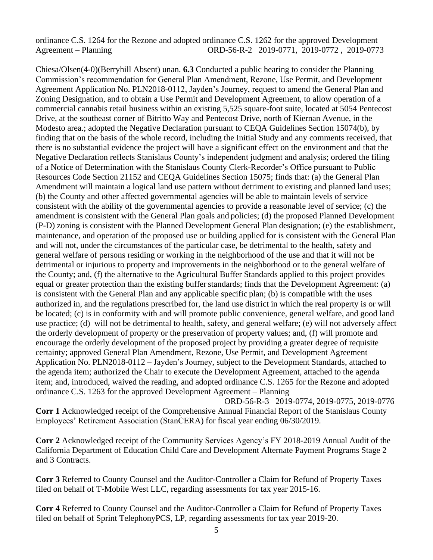ordinance C.S. 1264 for the Rezone and adopted ordinance C.S. 1262 for the approved Development Agreement – Planning ORD-56-R-2 2019-0771, 2019-0772 , 2019-0773

Chiesa/Olsen(4-0)(Berryhill Absent) unan. **6.3** Conducted a public hearing to consider the Planning Commission's recommendation for General Plan Amendment, Rezone, Use Permit, and Development Agreement Application No. PLN2018-0112, Jayden's Journey, request to amend the General Plan and Zoning Designation, and to obtain a Use Permit and Development Agreement, to allow operation of a commercial cannabis retail business within an existing 5,525 square-foot suite, located at 5054 Pentecost Drive, at the southeast corner of Bitritto Way and Pentecost Drive, north of Kiernan Avenue, in the Modesto area.; adopted the Negative Declaration pursuant to CEQA Guidelines Section 15074(b), by finding that on the basis of the whole record, including the Initial Study and any comments received, that there is no substantial evidence the project will have a significant effect on the environment and that the Negative Declaration reflects Stanislaus County's independent judgment and analysis; ordered the filing of a Notice of Determination with the Stanislaus County Clerk-Recorder's Office pursuant to Public Resources Code Section 21152 and CEQA Guidelines Section 15075; finds that: (a) the General Plan Amendment will maintain a logical land use pattern without detriment to existing and planned land uses; (b) the County and other affected governmental agencies will be able to maintain levels of service consistent with the ability of the governmental agencies to provide a reasonable level of service; (c) the amendment is consistent with the General Plan goals and policies; (d) the proposed Planned Development (P-D) zoning is consistent with the Planned Development General Plan designation; (e) the establishment, maintenance, and operation of the proposed use or building applied for is consistent with the General Plan and will not, under the circumstances of the particular case, be detrimental to the health, safety and general welfare of persons residing or working in the neighborhood of the use and that it will not be detrimental or injurious to property and improvements in the neighborhood or to the general welfare of the County; and, (f) the alternative to the Agricultural Buffer Standards applied to this project provides equal or greater protection than the existing buffer standards; finds that the Development Agreement: (a) is consistent with the General Plan and any applicable specific plan; (b) is compatible with the uses authorized in, and the regulations prescribed for, the land use district in which the real property is or will be located; (c) is in conformity with and will promote public convenience, general welfare, and good land use practice; (d) will not be detrimental to health, safety, and general welfare; (e) will not adversely affect the orderly development of property or the preservation of property values; and, (f) will promote and encourage the orderly development of the proposed project by providing a greater degree of requisite certainty; approved General Plan Amendment, Rezone, Use Permit, and Development Agreement Application No. PLN2018-0112 – Jayden's Journey, subject to the Development Standards, attached to the agenda item; authorized the Chair to execute the Development Agreement, attached to the agenda item; and, introduced, waived the reading, and adopted ordinance C.S. 1265 for the Rezone and adopted ordinance C.S. 1263 for the approved Development Agreement – Planning

 ORD-56-R-3 2019-0774, 2019-0775, 2019-0776 **Corr 1** Acknowledged receipt of the Comprehensive Annual Financial Report of the Stanislaus County Employees' Retirement Association (StanCERA) for fiscal year ending 06/30/2019.

**Corr 2** Acknowledged receipt of the Community Services Agency's FY 2018-2019 Annual Audit of the California Department of Education Child Care and Development Alternate Payment Programs Stage 2 and 3 Contracts.

**Corr 3** Referred to County Counsel and the Auditor-Controller a Claim for Refund of Property Taxes filed on behalf of T-Mobile West LLC, regarding assessments for tax year 2015-16.

**Corr 4** Referred to County Counsel and the Auditor-Controller a Claim for Refund of Property Taxes filed on behalf of Sprint TelephonyPCS, LP, regarding assessments for tax year 2019-20.